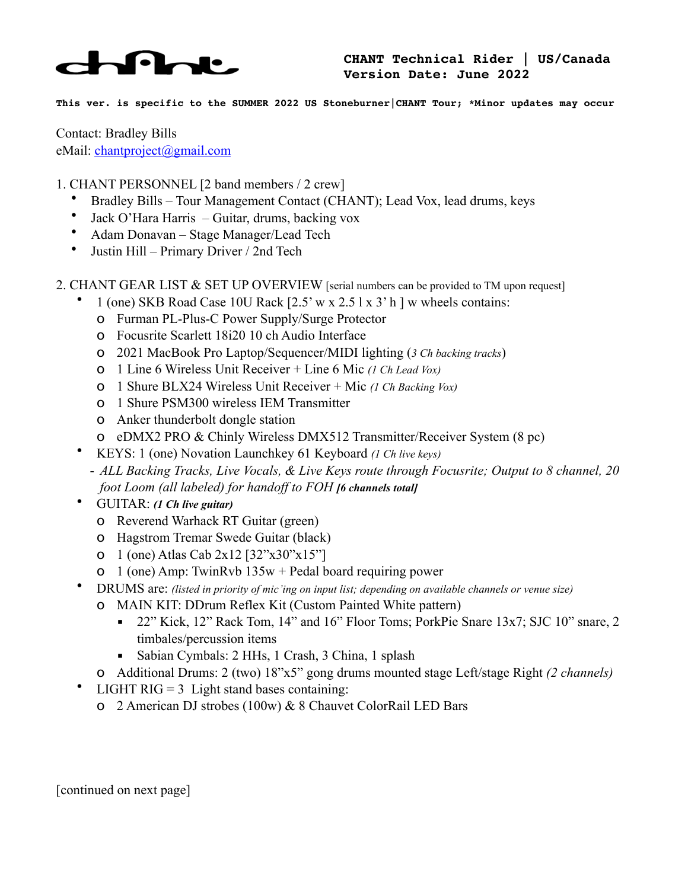

**This ver. is specific to the SUMMER 2022 US Stoneburner|CHANT Tour; \*Minor updates may occur**

Contact: Bradley Bills eMail: [chantproject@gmail.com](mailto:chantproject@gmail.com)

- 1. CHANT PERSONNEL [2 band members / 2 crew]
	- Bradley Bills Tour Management Contact (CHANT); Lead Vox, lead drums, keys
	- Jack O'Hara Harris Guitar, drums, backing vox
	- Adam Donavan Stage Manager/Lead Tech
	- Justin Hill Primary Driver / 2nd Tech
- 2. CHANT GEAR LIST & SET UP OVERVIEW [serial numbers can be provided to TM upon request]
	- 1 (one) SKB Road Case 10U Rack [2.5' w x 2.5 l x 3' h ] w wheels contains:
		- o Furman PL-Plus-C Power Supply/Surge Protector
		- o Focusrite Scarlett 18i20 10 ch Audio Interface
		- o 2021 MacBook Pro Laptop/Sequencer/MIDI lighting (*3 Ch backing tracks*)
		- o 1 Line 6 Wireless Unit Receiver + Line 6 Mic *(1 Ch Lead Vox)*
		- o 1 Shure BLX24 Wireless Unit Receiver + Mic *(1 Ch Backing Vox)*
		- o 1 Shure PSM300 wireless IEM Transmitter
		- o Anker thunderbolt dongle station
		- o eDMX2 PRO & Chinly Wireless DMX512 Transmitter/Receiver System (8 pc)
	- KEYS: 1 (one) Novation Launchkey 61 Keyboard *(1 Ch live keys)*
		- *ALL Backing Tracks, Live Vocals, & Live Keys route through Focusrite; Output to 8 channel, 20 foot Loom (all labeled) for handoff to FOH [6 channels total]*
	- GUITAR: *(1 Ch live guitar)*
		- o Reverend Warhack RT Guitar (green)
		- o Hagstrom Tremar Swede Guitar (black)
		- o 1 (one) Atlas Cab 2x12 [32"x30"x15"]
		- o 1 (one) Amp: TwinRvb 135w + Pedal board requiring power
	- DRUMS are: *(listed in priority of mic'ing on input list; depending on available channels or venue size)*
		- o MAIN KIT: DDrum Reflex Kit (Custom Painted White pattern)
			- 22" Kick, 12" Rack Tom, 14" and 16" Floor Toms; PorkPie Snare 13x7; SJC 10" snare, 2 timbales/percussion items
			- Sabian Cymbals: 2 HHs, 1 Crash, 3 China, 1 splash
		- o Additional Drums: 2 (two) 18"x5" gong drums mounted stage Left/stage Right *(2 channels)*
	- LIGHT RIG =  $3$  Light stand bases containing:
		- o 2 American DJ strobes (100w) & 8 Chauvet ColorRail LED Bars

[continued on next page]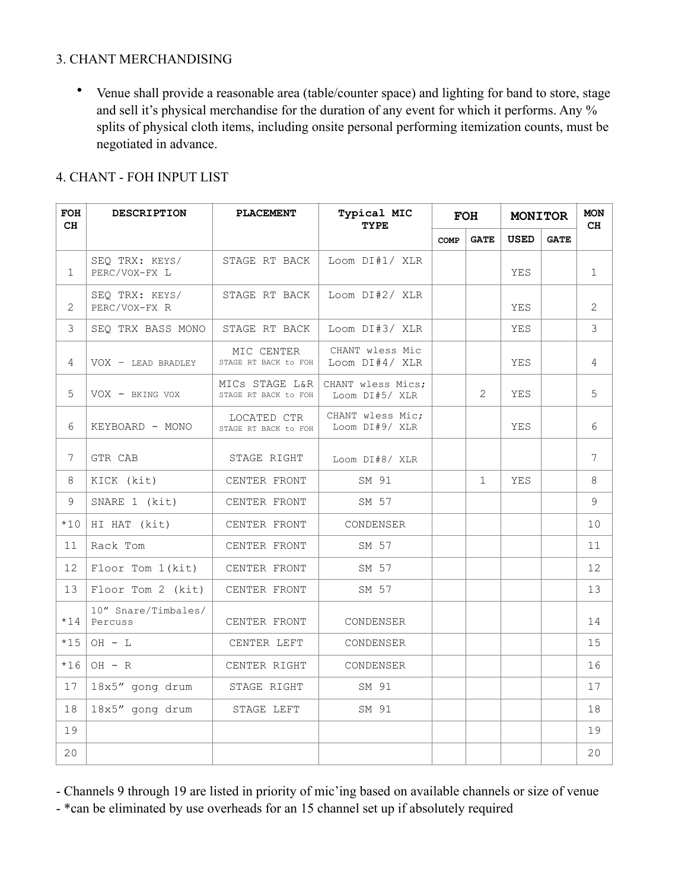## 3. CHANT MERCHANDISING

• Venue shall provide a reasonable area (table/counter space) and lighting for band to store, stage and sell it's physical merchandise for the duration of any event for which it performs. Any % splits of physical cloth items, including onsite personal performing itemization counts, must be negotiated in advance.

## 4. CHANT - FOH INPUT LIST

| FOH<br>CH       | <b>DESCRIPTION</b>              | <b>PLACEMENT</b>                       | Typical MIC<br><b>TYPE</b>          | <b>FOH</b> |              | <b>MONITOR</b> |             | <b>MON</b><br>CH |
|-----------------|---------------------------------|----------------------------------------|-------------------------------------|------------|--------------|----------------|-------------|------------------|
|                 |                                 |                                        |                                     | COMP       | <b>GATE</b>  | <b>USED</b>    | <b>GATE</b> |                  |
| $\mathbf{1}$    | SEO TRX: KEYS/<br>PERC/VOX-FX L | STAGE RT BACK                          | Loom DI#1/ XLR                      |            |              | YES            |             | $\mathbf{1}$     |
| $\mathcal{L}$   | SEO TRX: KEYS/<br>PERC/VOX-FX R | STAGE RT BACK                          | Loom DI#2/ XLR                      |            |              | YES            |             | $\mathcal{L}$    |
| 3               | SEO TRX BASS MONO               | STAGE RT BACK                          | Loom DI#3/ XLR                      |            |              | YES.           |             | 3                |
| $\overline{4}$  | $VOX - LED BRADLEY$             | MIC CENTER<br>STAGE RT BACK to FOH     | CHANT wless Mic<br>Loom $DI#4/ XLR$ |            |              | YES            |             | 4                |
| 5               | VOX - BKING VOX                 | MICS STAGE L&R<br>STAGE RT BACK to FOH | CHANT wless Mics:<br>Loom DI#5/ XLR |            | $\mathbf{2}$ | YES            |             | 5                |
| 6               | KEYBOARD - MONO                 | LOCATED CTR<br>STAGE RT BACK to FOH    | CHANT wless Mic;<br>Loom DI#9/ XLR  |            |              | YES            |             | 6                |
| $7\overline{ }$ | GTR CAB                         | STAGE RIGHT                            | Loom DI#8/ XLR                      |            |              |                |             | $\overline{7}$   |
| 8               | KICK (kit)                      | CENTER FRONT                           | SM 91                               |            | $\mathbf{1}$ | YES            |             | 8                |
| 9               | SNARE 1 (kit)                   | CENTER FRONT                           | SM 57                               |            |              |                |             | 9                |
| $*10$           | HI HAT (kit)                    | CENTER FRONT                           | CONDENSER                           |            |              |                |             | 10               |
| 11              | Rack Tom                        | CENTER FRONT                           | SM 57                               |            |              |                |             | 11               |
| 12              | $Floor$ Tom $1(kit)$            | CENTER FRONT                           | SM 57                               |            |              |                |             | 12               |
| 13              | Floor Tom 2 (kit)               | CENTER FRONT                           | SM 57                               |            |              |                |             | 13               |
| $*14$           | 10" Snare/Timbales/<br>Percuss  | CENTER FRONT                           | CONDENSER                           |            |              |                |             | 14               |
| $*15$           | $OH - L$                        | CENTER LEFT                            | CONDENSER                           |            |              |                |             | 15               |
| $*16$           | $OH - R$                        | CENTER RIGHT                           | CONDENSER                           |            |              |                |             | 16               |
| 17              | 18x5" gong drum                 | STAGE RIGHT                            | SM 91                               |            |              |                |             | 17               |
| 18              | 18x5" gong drum                 | STAGE LEFT                             | SM 91                               |            |              |                |             | 18               |
| 19              |                                 |                                        |                                     |            |              |                |             | 19               |
| 20              |                                 |                                        |                                     |            |              |                |             | 20               |

- Channels 9 through 19 are listed in priority of mic'ing based on available channels or size of venue - \*can be eliminated by use overheads for an 15 channel set up if absolutely required